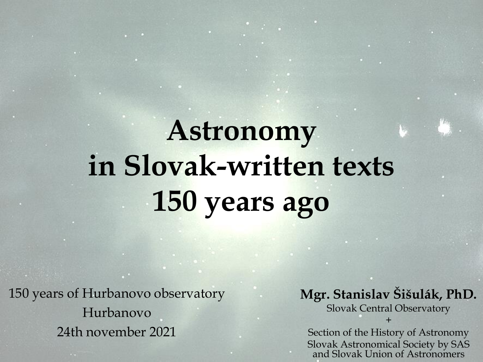# **Astronomy in Slovak-written texts 150 years ago**

150 years of Hurbanovo observatory Hurbanovo 24th november 2021

#### **Mgr. Stanislav Šišulák, PhD.**

Slovak Central Observatory +

Section of the History of Astronomy Slovak Astronomical Society by SAS and Slovak Union of Astronomers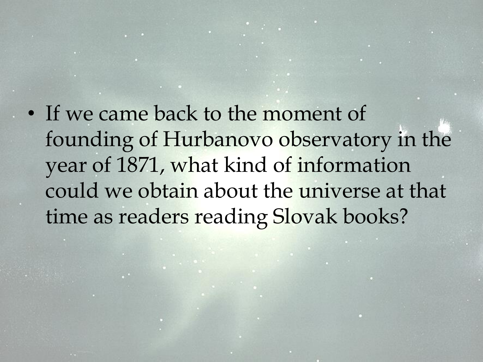• If we came back to the moment of founding of Hurbanovo observatory in the year of 1871, what kind of information could we obtain about the universe at that time as readers reading Slovak books?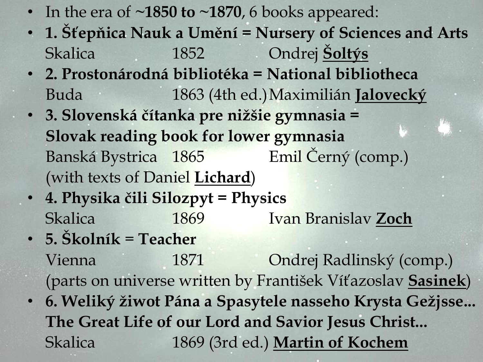- In the era of ~1850 to ~1870, 6 books appeared:
- **1. Šťepňica Nauk a Umění = Nursery of Sciences and Arts** Skalica 1852 Ondrej **Šoltýs**
- **2. Prostonárodná bibliotéka = National bibliotheca** Buda 1863 (4th ed.)Maximilián **Jalovecký**
- **3. Slovenská čítanka pre nižšie gymnasia = Slovak reading book for lower gymnasia** Banská Bystrica 1865 Emil Černý (comp.) (with texts of Daniel **Lichard**)
- **4. Physika čili Silozpyt = Physics** Skalica 1869 Ivan Branislav **Zoch**
- **5. Školník** = **Teacher** Vienna 1871 Ondrej Radlinský (comp.) (parts on universe written by František Víťazoslav **Sasinek**)
- **6. Weliký žiwot Pána a Spasytele nasseho Krysta Gežjsse... The Great Life of our Lord and Savior Jesus Christ...** Skalica 1869 (3rd ed.) **Martin of Kochem**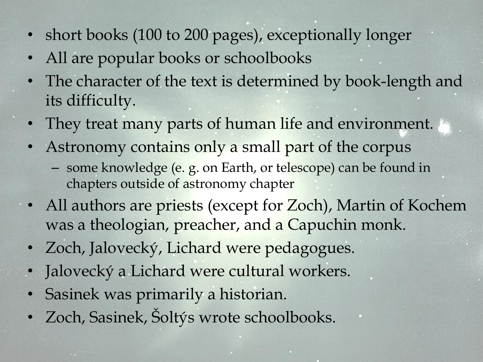- short books (100 to 200 pages), exceptionally longer
- All are popular books or schoolbooks
- The character of the text is determined by book-length and its difficulty.
- They treat many parts of human life and environment.
- Astronomy contains only a small part of the corpus
	- some knowledge (e. g. on Earth, or telescope) can be found in chapters outside of astronomy chapter
- All authors are priests (except for Zoch), Martin of Kochem was a theologian, preacher, and a Capuchin monk.
- Zoch, Jalovecký, Lichard were pedagogues.
- Jalovecký a Lichard were cultural workers.
- Sasinek was primarily a historian.
- Zoch, Sasinek, Šoltýs wrote schoolbooks.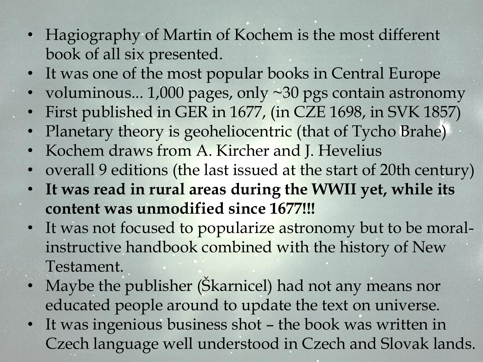- Hagiography of Martin of Kochem is the most different book of all six presented.
- It was one of the most popular books in Central Europe
- voluminous... 1,000 pages, only ~30 pgs contain astronomy
- First published in GER in 1677, (in CZE 1698, in SVK 1857)
- Planetary theory is geoheliocentric (that of Tycho Brahe)
- Kochem draws from A. Kircher and J. Hevelius
- overall 9 editions (the last issued at the start of 20th century)
- **It was read in rural areas during the WWII yet, while its content was unmodified since 1677!!!**
- It was not focused to popularize astronomy but to be moralinstructive handbook combined with the history of New Testament.
- Maybe the publisher (Skarnicel) had not any means nor educated people around to update the text on universe.
- It was ingenious business shot the book was written in Czech language well understood in Czech and Slovak lands.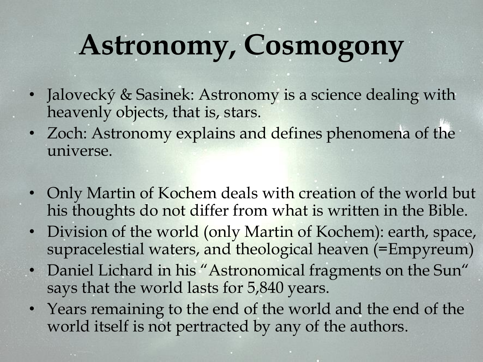# **Astronomy, Cosmogony**

- Jalovecký & Sasinek: Astronomy is a science dealing with heavenly objects, that is, stars.
- Zoch: Astronomy explains and defines phenomena of the universe.
- Only Martin of Kochem deals with creation of the world but his thoughts do not differ from what is written in the Bible.
- Division of the world (only Martin of Kochem): earth, space, supracelestial waters, and theological heaven (=Empyreum)
- Daniel Lichard in his "Astronomical fragments on the Sun" says that the world lasts for 5,840 years.
- Years remaining to the end of the world and the end of the world itself is not pertracted by any of the authors.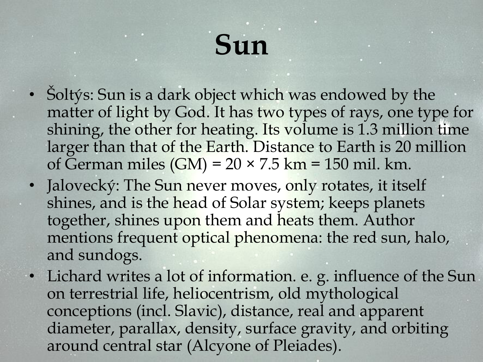#### **Sun**

- Šoltýs: Sun is a dark object which was endowed by the matter of light by God. It has two types of rays, one type for shining, the other for heating. Its volume is 1.3 million time larger than that of the Earth. Distance to Earth is 20 million of German miles  $(GM) = 20 \times 7.5$  km = 150 mil. km.
- Jalovecký: The Sun never moves, only rotates, it itself shines, and is the head of Solar system; keeps planets together, shines upon them and heats them. Author mentions frequent optical phenomena: the red sun, halo, and sundogs.
- Lichard writes a lot of information. e. g. influence of the Sun on terrestrial life, heliocentrism, old mythological conceptions (incl. Slavic), distance, real and apparent diameter, parallax, density, surface gravity, and orbiting around central star (Alcyone of Pleiades).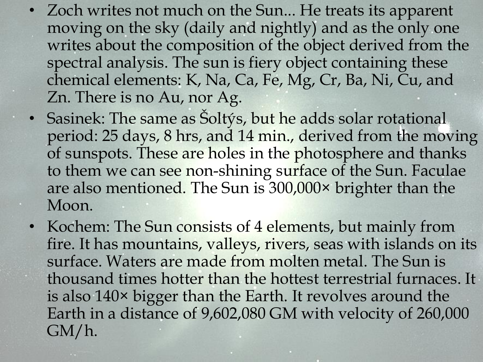- Zoch writes not much on the Sun... He treats its apparent moving on the sky (daily and nightly) and as the only one writes about the composition of the object derived from the spectral analysis. The sun is fiery object containing these chemical elements: K, Na, Ca, Fe, Mg, Cr, Ba, Ni, Cu, and Zn. There is no Au, nor Ag.
- Sasinek: The same as Šoltýs, but he adds solar rotational period: 25 days, 8 hrs, and 14 min., derived from the moving of sunspots. These are holes in the photosphere and thanks to them we can see non-shining surface of the Sun. Faculae are also mentioned. The Sun is 300,000× brighter than the Moon.
- Kochem: The Sun consists of 4 elements, but mainly from fire. It has mountains, valleys, rivers, seas with islands on its surface. Waters are made from molten metal. The Sun is thousand times hotter than the hottest terrestrial furnaces. It is also 140× bigger than the Earth. It revolves around the Earth in a distance of 9,602,080 GM with velocity of 260,000 GM/h.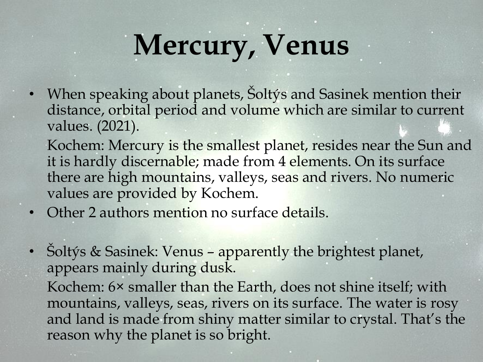# **Mercury, Venus**

• When speaking about planets, Šoltýs and Sasinek mention their distance, orbital period and volume which are similar to current values. (2021).

Kochem: Mercury is the smallest planet, resides near the Sun and it is hardly discernable; made from 4 elements. On its surface there are high mountains, valleys, seas and rivers. No numeric values are provided by Kochem.

- Other 2 authors mention no surface details.
- Soltýs & Sasinek: Venus apparently the brightest planet, appears mainly during dusk.

Kochem: 6× smaller than the Earth, does not shine itself; with mountains, valleys, seas, rivers on its surface. The water is rosy and land is made from shiny matter similar to crystal. That's the reason why the planet is so bright.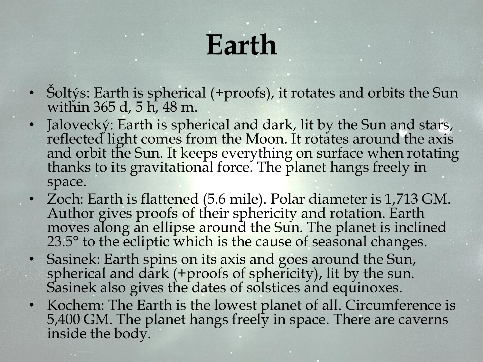## **Earth**

- Soltýs: Earth is spherical (+proofs), it rotates and orbits the Sun within 365 d, 5 h, 48 m.
- Jalovecký: Earth is spherical and dark, lit by the Sun and stars, reflected light comes from the Moon. It rotates around the axis and orbit the Sun. It keeps everything on surface when rotating thanks to its gravitational force. The planet hangs freely in space.
- Zoch: Earth is flattened (5.6 mile). Polar diameter is 1,713 GM. Author gives proofs of their sphericity and rotation. Earth moves along an ellipse around the Sun. The planet is inclined 23.5° to the ecliptic which is the cause of seasonal changes.
- Sasinek: Earth spins on its axis and goes around the Sun, spherical and dark (+proofs of sphericity), lit by the sun. Sasinek also gives the dates of solstices and equinoxes.
- Kochem: The Earth is the lowest planet of all. Circumference is 5,400 GM. The planet hangs freely in space. There are caverns inside the body.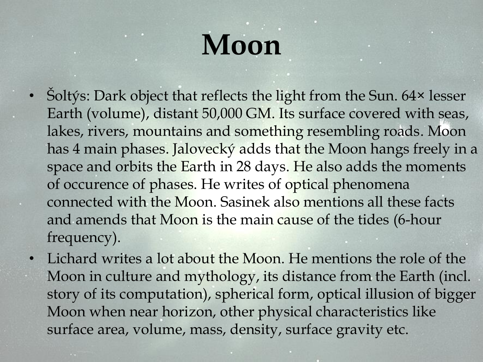# **Moon**

- Šoltýs: Dark object that reflects the light from the Sun. 64× lesser Earth (volume), distant 50,000 GM. Its surface covered with seas, lakes, rivers, mountains and something resembling roads. Moon has 4 main phases. Jalovecký adds that the Moon hangs freely in a space and orbits the Earth in 28 days. He also adds the moments of occurence of phases. He writes of optical phenomena connected with the Moon. Sasinek also mentions all these facts and amends that Moon is the main cause of the tides (6-hour frequency).
- Lichard writes a lot about the Moon. He mentions the role of the Moon in culture and mythology, its distance from the Earth (incl. story of its computation), spherical form, optical illusion of bigger Moon when near horizon, other physical characteristics like surface area, volume, mass, density, surface gravity etc.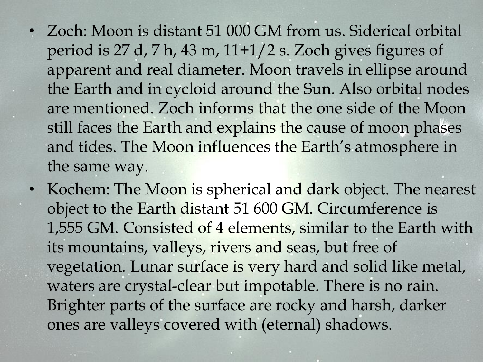- Zoch: Moon is distant 51 000 GM from us. Siderical orbital period is 27 d, 7 h, 43 m, 11+1/2 s. Zoch gives figures of apparent and real diameter. Moon travels in ellipse around the Earth and in cycloid around the Sun. Also orbital nodes are mentioned. Zoch informs that the one side of the Moon still faces the Earth and explains the cause of moon phases and tides. The Moon influences the Earth's atmosphere in the same way.
- Kochem: The Moon is spherical and dark object. The nearest object to the Earth distant 51 600 GM. Circumference is 1,555 GM. Consisted of 4 elements, similar to the Earth with its mountains, valleys, rivers and seas, but free of vegetation. Lunar surface is very hard and solid like metal, waters are crystal-clear but impotable. There is no rain. Brighter parts of the surface are rocky and harsh, darker ones are valleys covered with (eternal) shadows.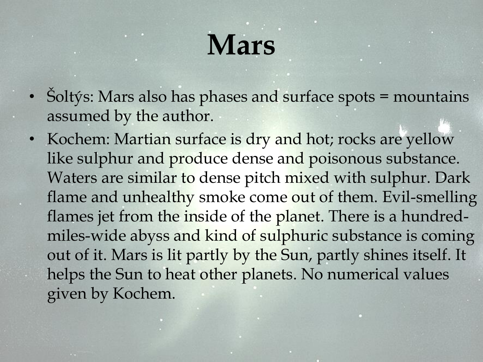## **Mars**

- Soltýs: Mars also has phases and surface spots = mountains assumed by the author.
- Kochem: Martian surface is dry and hot; rocks are yellow like sulphur and produce dense and poisonous substance. Waters are similar to dense pitch mixed with sulphur. Dark flame and unhealthy smoke come out of them. Evil-smelling flames jet from the inside of the planet. There is a hundredmiles-wide abyss and kind of sulphuric substance is coming out of it. Mars is lit partly by the Sun, partly shines itself. It helps the Sun to heat other planets. No numerical values given by Kochem.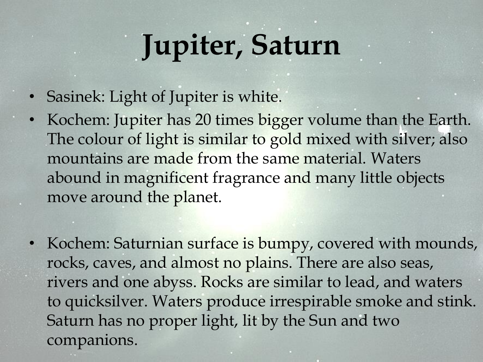# **Jupiter, Saturn**

- Sasinek: Light of Jupiter is white.
- Kochem: Jupiter has 20 times bigger volume than the Earth. The colour of light is similar to gold mixed with silver; also mountains are made from the same material. Waters abound in magnificent fragrance and many little objects move around the planet.
- Kochem: Saturnian surface is bumpy, covered with mounds, rocks, caves, and almost no plains. There are also seas, rivers and one abyss. Rocks are similar to lead, and waters to quicksilver. Waters produce irrespirable smoke and stink. Saturn has no proper light, lit by the Sun and two companions.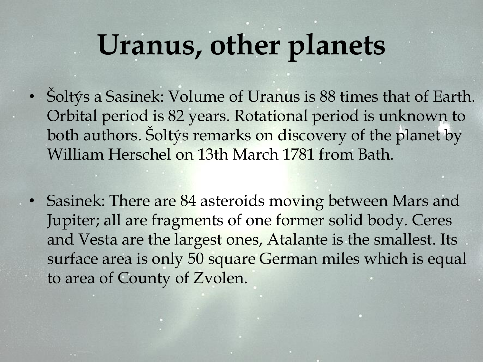#### **Uranus, other planets**

- Šoltýs a Sasinek: Volume of Uranus is 88 times that of Earth. Orbital period is 82 years. Rotational period is unknown to both authors. Šoltýs remarks on discovery of the planet by William Herschel on 13th March 1781 from Bath.
- Sasinek: There are 84 asteroids moving between Mars and Jupiter; all are fragments of one former solid body. Ceres and Vesta are the largest ones, Atalante is the smallest. Its surface area is only 50 square German miles which is equal to area of County of Zvolen.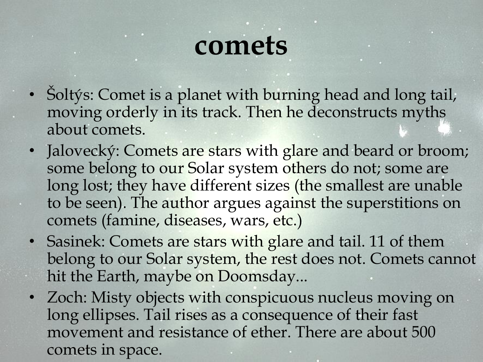#### **comets**

- Soltýs: Comet is a planet with burning head and long tail, moving orderly in its track. Then he deconstructs myths about comets.
- Jalovecký: Comets are stars with glare and beard or broom; some belong to our Solar system others do not; some are long lost; they have different sizes (the smallest are unable to be seen). The author argues against the superstitions on comets (famine, diseases, wars, etc.)
- Sasinek: Comets are stars with glare and tail. 11 of them belong to our Solar system, the rest does not. Comets cannot hit the Earth, maybe on Doomsday...
- Zoch: Misty objects with conspicuous nucleus moving on long ellipses. Tail rises as a consequence of their fast movement and resistance of ether. There are about 500 comets in space.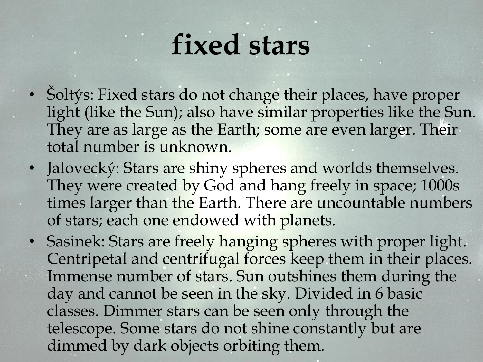#### **fixed stars**

- Šoltýs: Fixed stars do not change their places, have proper light (like the Sun); also have similar properties like the Sun. They are as large as the Earth; some are even larger. Their total number is unknown.
- Jalovecký: Stars are shiny spheres and worlds themselves. They were created by God and hang freely in space; 1000s times larger than the Earth. There are uncountable numbers of stars; each one endowed with planets.
- Sasinek: Stars are freely hanging spheres with proper light. Centripetal and centrifugal forces keep them in their places. Immense number of stars. Sun outshines them during the day and cannot be seen in the sky. Divided in 6 basic classes. Dimmer stars can be seen only through the telescope. Some stars do not shine constantly but are dimmed by dark objects orbiting them.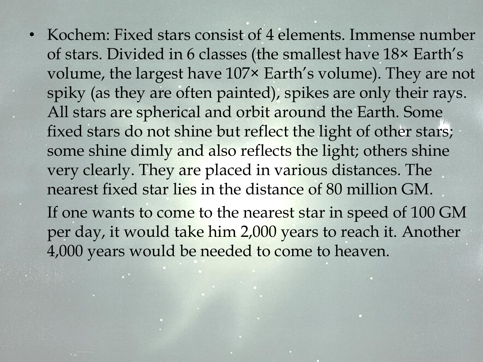• Kochem: Fixed stars consist of 4 elements. Immense number of stars. Divided in 6 classes (the smallest have 18× Earth's volume, the largest have 107× Earth's volume). They are not spiky (as they are often painted), spikes are only their rays. All stars are spherical and orbit around the Earth. Some fixed stars do not shine but reflect the light of other stars; some shine dimly and also reflects the light; others shine very clearly. They are placed in various distances. The nearest fixed star lies in the distance of 80 million GM. If one wants to come to the nearest star in speed of 100 GM per day, it would take him 2,000 years to reach it. Another 4,000 years would be needed to come to heaven.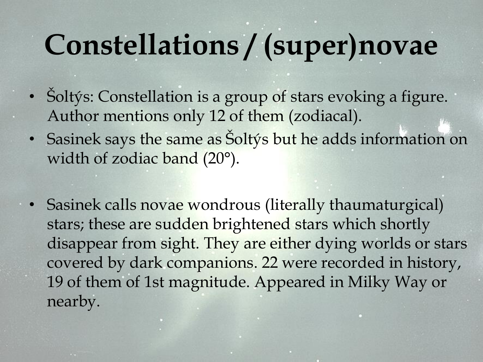## **Constellations / (super)novae**

- Šoltýs: Constellation is a group of stars evoking a figure. Author mentions only 12 of them (zodiacal).
- Sasinek says the same as Šoltýs but he adds information on width of zodiac band (20°).
- Sasinek calls novae wondrous (literally thaumaturgical) stars; these are sudden brightened stars which shortly disappear from sight. They are either dying worlds or stars covered by dark companions. 22 were recorded in history, 19 of them of 1st magnitude. Appeared in Milky Way or nearby.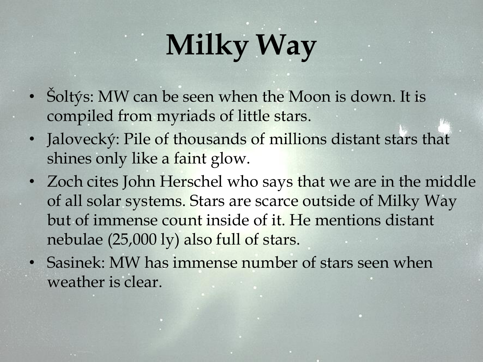# **Milky Way**

- Šoltýs: MW can be seen when the Moon is down. It is compiled from myriads of little stars.
- Jalovecký: Pile of thousands of millions distant stars that shines only like a faint glow.
- Zoch cites John Herschel who says that we are in the middle of all solar systems. Stars are scarce outside of Milky Way but of immense count inside of it. He mentions distant nebulae (25,000 ly) also full of stars.
- Sasinek: MW has immense number of stars seen when weather is clear.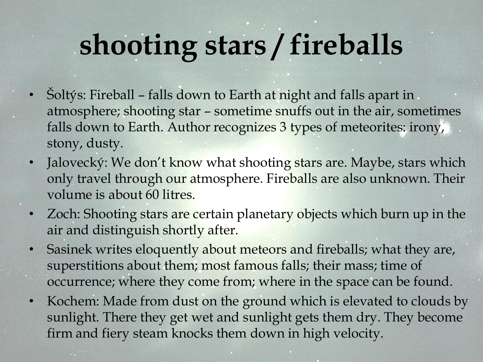# **shooting stars / fireballs**

- Soltýs: Fireball falls down to Earth at night and falls apart in atmosphere; shooting star – sometime snuffs out in the air, sometimes falls down to Earth. Author recognizes 3 types of meteorites: irony, stony, dusty.
- Jalovecký: We don't know what shooting stars are. Maybe, stars which only travel through our atmosphere. Fireballs are also unknown. Their volume is about 60 litres.
- Zoch: Shooting stars are certain planetary objects which burn up in the air and distinguish shortly after.
- Sasinek writes eloquently about meteors and fireballs; what they are, superstitions about them; most famous falls; their mass; time of occurrence; where they come from; where in the space can be found.
- Kochem: Made from dust on the ground which is elevated to clouds by sunlight. There they get wet and sunlight gets them dry. They become firm and fiery steam knocks them down in high velocity.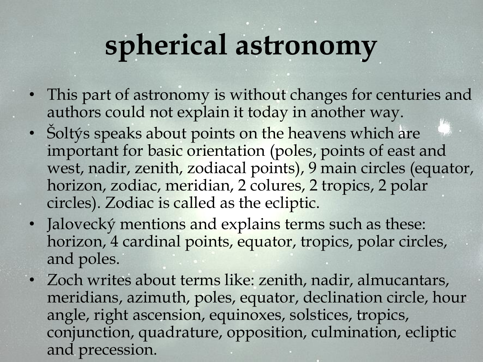#### **spherical astronomy**

- This part of astronomy is without changes for centuries and authors could not explain it today in another way.
- Šoltýs speaks about points on the heavens which are important for basic orientation (poles, points of east and west, nadir, zenith, zodiacal points), 9 main circles (equator, horizon, zodiac, meridian, 2 colures, 2 tropics, 2 polar circles). Zodiac is called as the ecliptic.
- Jalovecký mentions and explains terms such as these: horizon, 4 cardinal points, equator, tropics, polar circles, and poles.
- Zoch writes about terms like: zenith, nadir, almucantars, meridians, azimuth, poles, equator, declination circle, hour angle, right ascension, equinoxes, solstices, tropics, conjunction, quadrature, opposition, culmination, ecliptic and precession.